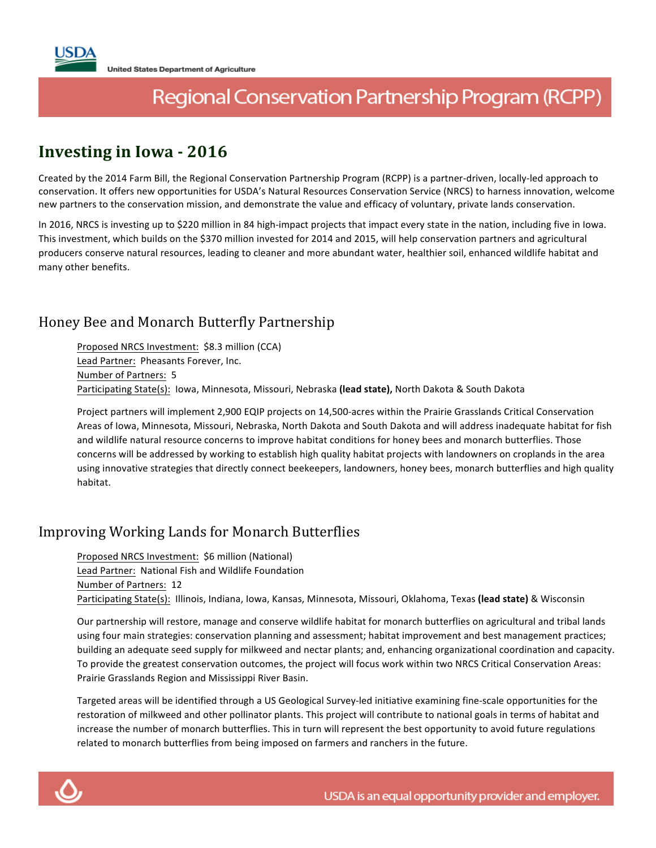# Regional Conservation Partnership Program (RCPP)

## **Investing in Iowa - 2016**

Created by the 2014 Farm Bill, the Regional Conservation Partnership Program (RCPP) is a partner-driven, locally-led approach to conservation. It offers new opportunities for USDA's Natural Resources Conservation Service (NRCS) to harness innovation, welcome new partners to the conservation mission, and demonstrate the value and efficacy of voluntary, private lands conservation.

In 2016, NRCS is investing up to \$220 million in 84 high-impact projects that impact every state in the nation, including five in Iowa. This investment, which builds on the \$370 million invested for 2014 and 2015, will help conservation partners and agricultural producers conserve natural resources, leading to cleaner and more abundant water, healthier soil, enhanced wildlife habitat and many other benefits. 

#### Honey Bee and Monarch Butterfly Partnership

Proposed NRCS Investment: \$8.3 million (CCA) Lead Partner: Pheasants Forever, Inc. Number of Partners: 5 Participating State(s): Iowa, Minnesota, Missouri, Nebraska (lead state), North Dakota & South Dakota

Project partners will implement 2,900 EQIP projects on 14,500-acres within the Prairie Grasslands Critical Conservation Areas of Iowa, Minnesota, Missouri, Nebraska, North Dakota and South Dakota and will address inadequate habitat for fish and wildlife natural resource concerns to improve habitat conditions for honey bees and monarch butterflies. Those concerns will be addressed by working to establish high quality habitat projects with landowners on croplands in the area using innovative strategies that directly connect beekeepers, landowners, honey bees, monarch butterflies and high quality habitat.

#### Improving Working Lands for Monarch Butterflies

Proposed NRCS Investment: \$6 million (National) Lead Partner: National Fish and Wildlife Foundation Number of Partners: 12 Participating State(s): Illinois, Indiana, Iowa, Kansas, Minnesota, Missouri, Oklahoma, Texas (lead state) & Wisconsin

Our partnership will restore, manage and conserve wildlife habitat for monarch butterflies on agricultural and tribal lands using four main strategies: conservation planning and assessment; habitat improvement and best management practices; building an adequate seed supply for milkweed and nectar plants; and, enhancing organizational coordination and capacity. To provide the greatest conservation outcomes, the project will focus work within two NRCS Critical Conservation Areas: Prairie Grasslands Region and Mississippi River Basin.

Targeted areas will be identified through a US Geological Survey-led initiative examining fine-scale opportunities for the restoration of milkweed and other pollinator plants. This project will contribute to national goals in terms of habitat and increase the number of monarch butterflies. This in turn will represent the best opportunity to avoid future regulations related to monarch butterflies from being imposed on farmers and ranchers in the future.

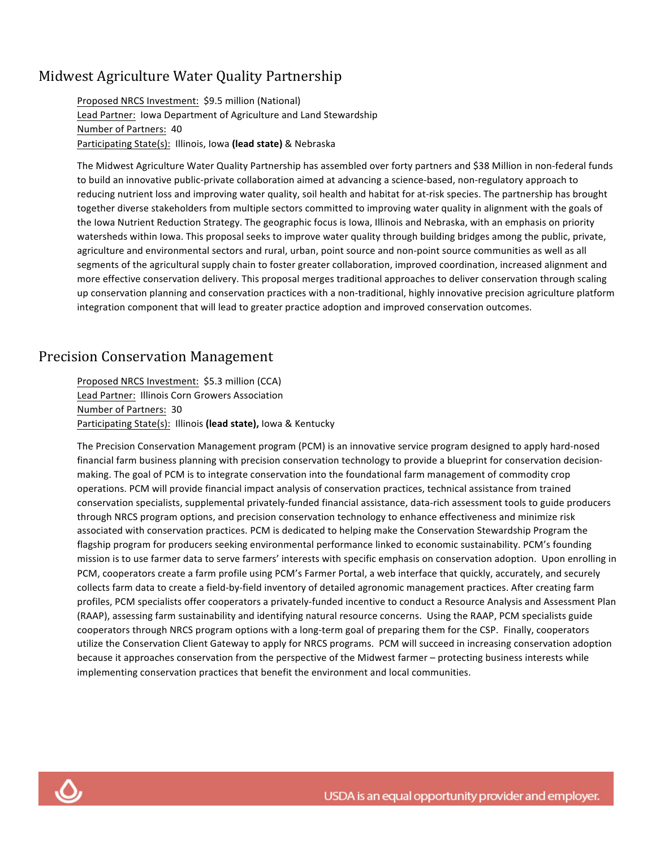#### Midwest Agriculture Water Quality Partnership

Proposed NRCS Investment: \$9.5 million (National) Lead Partner: Iowa Department of Agriculture and Land Stewardship Number of Partners: 40 Participating State(s): Illinois, Iowa (lead state) & Nebraska

The Midwest Agriculture Water Quality Partnership has assembled over forty partners and \$38 Million in non-federal funds to build an innovative public-private collaboration aimed at advancing a science-based, non-regulatory approach to reducing nutrient loss and improving water quality, soil health and habitat for at-risk species. The partnership has brought together diverse stakeholders from multiple sectors committed to improving water quality in alignment with the goals of the Iowa Nutrient Reduction Strategy. The geographic focus is Iowa, Illinois and Nebraska, with an emphasis on priority watersheds within lowa. This proposal seeks to improve water quality through building bridges among the public, private, agriculture and environmental sectors and rural, urban, point source and non-point source communities as well as all segments of the agricultural supply chain to foster greater collaboration, improved coordination, increased alignment and more effective conservation delivery. This proposal merges traditional approaches to deliver conservation through scaling up conservation planning and conservation practices with a non-traditional, highly innovative precision agriculture platform integration component that will lead to greater practice adoption and improved conservation outcomes.

#### **Precision Conservation Management**

Proposed NRCS Investment: \$5.3 million (CCA) Lead Partner: Illinois Corn Growers Association Number of Partners: 30 Participating State(s): Illinois (lead state), Iowa & Kentucky

The Precision Conservation Management program (PCM) is an innovative service program designed to apply hard-nosed financial farm business planning with precision conservation technology to provide a blueprint for conservation decisionmaking. The goal of PCM is to integrate conservation into the foundational farm management of commodity crop operations. PCM will provide financial impact analysis of conservation practices, technical assistance from trained conservation specialists, supplemental privately-funded financial assistance, data-rich assessment tools to guide producers through NRCS program options, and precision conservation technology to enhance effectiveness and minimize risk associated with conservation practices. PCM is dedicated to helping make the Conservation Stewardship Program the flagship program for producers seeking environmental performance linked to economic sustainability. PCM's founding mission is to use farmer data to serve farmers' interests with specific emphasis on conservation adoption. Upon enrolling in PCM, cooperators create a farm profile using PCM's Farmer Portal, a web interface that quickly, accurately, and securely collects farm data to create a field-by-field inventory of detailed agronomic management practices. After creating farm profiles, PCM specialists offer cooperators a privately-funded incentive to conduct a Resource Analysis and Assessment Plan (RAAP), assessing farm sustainability and identifying natural resource concerns. Using the RAAP, PCM specialists guide cooperators through NRCS program options with a long-term goal of preparing them for the CSP. Finally, cooperators utilize the Conservation Client Gateway to apply for NRCS programs. PCM will succeed in increasing conservation adoption because it approaches conservation from the perspective of the Midwest farmer – protecting business interests while implementing conservation practices that benefit the environment and local communities.